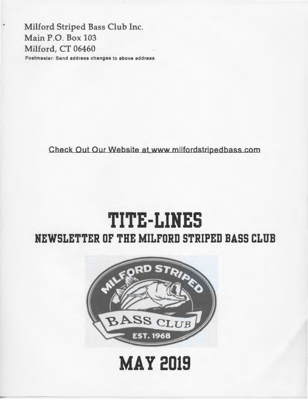Milford Striped Bass Club Inc. Main P.O. Box 103 Milford, CT 06460 Postmaster: Send address changes to above address.

Check Out Our Website at,www milfordstripedbass com

## **TITE-LIHES NEWSLETTER OF THE MILFORD STRIPED BASS CLUB**



## **MAY 2019**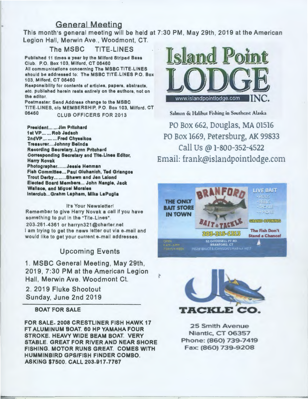### General Meeting

This month's general meeting will be held at 7:30PM, May 29th, 2019 at the American Legion Hall, Merwin Ave., Woodmont, CT.

#### The MSBC TITE-LINES

Published 11 times a year by the Milford Striped Bass Club. P.O. Box 103, Milford, CT 06460 All communications concerning The MSBC TITE.LINES should be addressed to: The MSBC TITE.LINES P.O. Box 103, Milford, CT 06460 Responsibility for contents of articles, papers, abstracts, etc. published herein rests entirely on the authors, not on the editor. Postmaster: Send Address change to the MSBC TITE-LINES, c/o MEMBERSHIP, P.O. Box 103, Milford, CT

#### 06460 CLUB OFFICERS FOR 2013

Preaident... ... Jim Pritchard 1at VP ...... Rob Jadach 2ndVP ... ... ... Fred Chyssikos Treasurer....Johnny Belinda Recording Secretary..Lynn Pritchard Correaponding Secretary and Tite-Linet Editor, Harry Novak Photographer.......Jessie Henman Fish Committee... Paul Gluhanich, Ted Griangos Trout Derby ........ Shawn and Jen Lalond Elected Board Members... John Nangle, Jack Wallace, and Miguel Morales lnterclub ... Grahm Lapham, Mike LaPuglla

It's Your Newsletter! Remember to give Harry Novak a call if you have something to put in the "Tite-Lines".

203-261-4361 or harryn321 @charter. net I am trying to get the news letter out via e-mail and would like to get your current e-mail addresses.

### Upcoming Events

1. MSBC General Meeting, May 29th, 2019, 7:30 PM at the American Legion Hall, Merwin Ave. Woodmont Ct.

2. 2019 Fluke Shootout Sunday, June 2nd 2019

#### BOAT FOR SALE

FOR SALE- 2008 CRESTLINER FISH HAWK 17 FT ALUMINUM BOAT. 60 HP YAMAHA FOUR STROKE. HEAVY WIDE BEAM BOAT. VERY STABLE. GREAT FOR RIVER AND NEAR SHORE FISHING. MOTOR RUNS GREAT. COMES WITH HUMMINBIRD GPS/FISH FINDER COMBO. ASKING \$7500. CALL 203-917-7767



Salmon & Halibut Fishing in Southeast Alaska PO Box 662, Douglas, MA 01516 PO Box 1669, Petersburg, AK 99833 Call Us @ 1-800-352-4522 Email: frank@islandpointlodge.com





25 Smith Avenue Niantic, CT 06357 Phone: (860) 739-7419 Fax: (860) 739-9208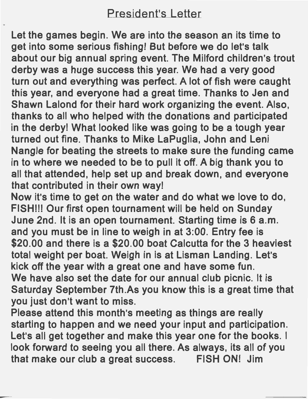### President's Letter

Let the games begin. We are into the season an its time to get into some serious fishing! But before we do let's talk about our big annual spring event. The Milford children's trout derby was a huge success this year. We had a very good turn out and everything was perfect. A lot of fish were caught this year, and everyone had a great time. Thanks to Jen and Shawn Lalond for their hard work organizing the event. Also, thanks to all who helped with the donations and participated in the derby! What looked like was going to be a tough year turned out fine. Thanks to Mike LaPuglia, John and Leni Nangle for beating the streets to make sure the funding came in to where we needed to be to pull it off. A big thank you to all that attended, help set up and break down, and everyone that contributed in their own way!

Now it's time to get on the water and do what we love to do, FISH!!! Our first open tournament will be held on Sunday June 2nd. It is an open tournament. Starting time is 6 a.m. and you must be in line to weigh in at 3:00. Entry fee is \$20.00 and there is a \$20.00 boat Calcutta for the 3 heaviest total weight per boat. Weigh in is at Lisman Landing. Let's kick off the year with a great one and have some fun. We have also set the date for our annual club picnic. It is Saturday September 7th.As you know this is a great time that you just don't want to miss.

Please attend this month's meeting as things are really starting to happen and we need your input and participation. Let's all get together and make this year one for the books. I look forward to seeing you all there. As always, its all of you that make our club a great success. FISH ON! Jim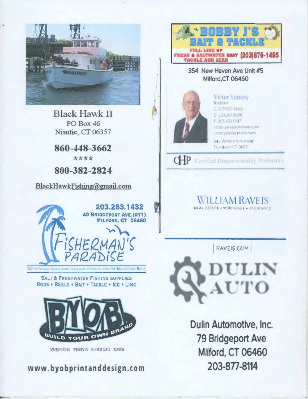

**Black Hawk II PO** Box 46 Niantic, CT 06357

860-448-3662

\*\*\*\*

800-382-2824

BlackHawkFishing@gmail.com



**SALT & FRESHWATER FISHING SUPPLIES** 

RODS . REELS . BAIT . TACKLE . ICE . LINE



KREEWANING WEBOESHIN BUSINESS CARDS BANNERS

www.byobprintanddesign.com



### 354 New Haven Ave Unit #5 Milford.CT 06460



#### **Victor Yanosy** Realtor 0.203.520.5690 0.203.261.0028

F 203 452 0517 victor.yangsy@raveis.com victoryanosy.raveis.com

945 White Plains Road Trumbull | CT 06611

### CHP Certified Homeownership Profession:

### WILLIAM RAVEIS **PIORTISAGE - NEURANCE**

**RAVEIS COM** 



Dulin Automotive, Inc. 79 Bridgeport Ave Milford, CT 06460 203-877-8114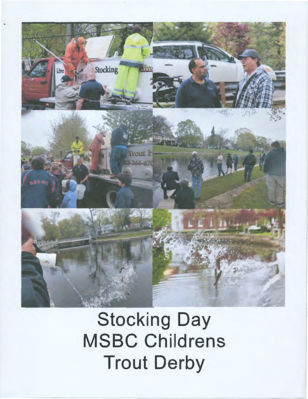

## **Stocking Day MSBC Childrens Trout Derby**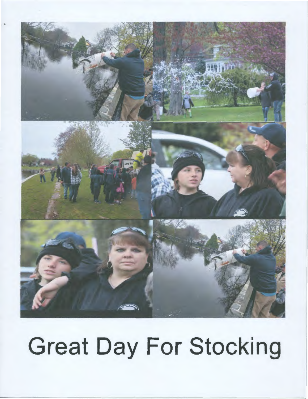

# **Great Day For Stocking**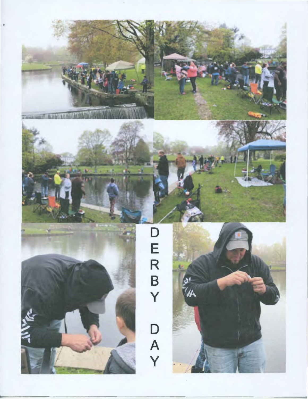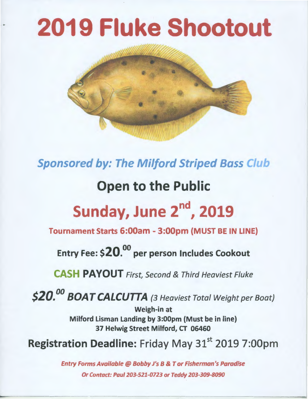## 2019 Fluke Shootout



Sponsored by: The Milford Striped Bass Club

### Open to the Public

## Sunday, June 2<sup>nd</sup>, 2019

Tournament Starts 6:00am - 3:00pm (MUST BE IN LINE)

Entry Fee: \$ ${\bf 20}^{.00}$  per person Includes Cookout

CASH PAYOUT First, Second & Third Heaviest Fluke

\$20.<sup>00</sup> BOAT CALCUTTA (3 Heaviest Total Weight per Boat)

Weigh-in at Milford Lisman Landing by 3:00pm (Must be in line) 37 Helwig Street Milford, CT 06460

Registration Deadline: Friday May 31<sup>st</sup> 2019 7:00pm

Entry Forms Available@ Bobby J's B *&* Tor Fisherman's Paradise Or Contact: Paul 203-521-0723 or Teddy 203-309-8090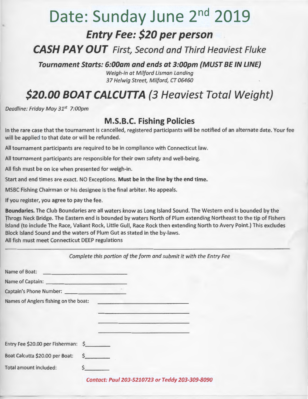### **Date: Sunday June** 2nd **2019 Entry Fee: \$20 per person**

**CASH PAY OUT** First, Second and Third Heaviest Fluke

**Tournament Starts: 6:00am and ends at 3:00pm {MUST BE IN LINE)** 

Weigh-in at Milford Lisman Landing 37 Helwig Street, Milford, CT 06460

### **\$20.00 BOAT CALCUTTA {3 Heaviest Total Weight)**

Deadline: Friday May 31*<sup>5</sup> t* 7:00pm

### **M.S.B.C. Fishing Policies**

In the rare case that the tournament is cancelled, registered participants will be notified of an alternate date. Your fee will be applied to that date or will be refunded.

All tournament participants are required to be in compliance with Connecticut law.

All tournament participants are responsible for their own safety and well-being.

All fish must be on ice when presented for weigh-in.

Start and end times are exact. NO Exceptions. **Must be in the line by the end time.** 

MSBC Fishing Chairman or his designee is the final arbiter. No appeals.

If you register, you agree to pay the fee.

**Boundaries.** The Club Boundaries are all waters know as Long Island Sound. The Western end is bounded by the Throgs Neck Bridge. The Eastern end is bounded by waters North of Plum extending Northeast to the tip of Fishers Island (to include The Race, Valiant Rock, Little Gull, Race Rock then extending North to Avery Point.) This excludes Block Island Sound and the waters of Plum Gut as stated in the by-laws. All fish must meet Connecticut DEEP regulations

|                                       | Complete this portion of the form and submit it with the Entry Fee                        |
|---------------------------------------|-------------------------------------------------------------------------------------------|
| Name of Boat: Name of Boat:           |                                                                                           |
|                                       |                                                                                           |
|                                       |                                                                                           |
| Names of Anglers fishing on the boat: | and the second company of the second company                                              |
|                                       |                                                                                           |
|                                       | <u> 1999 - An Amerikaansk kalendarist (</u>                                               |
|                                       | the company of the company of the company of the company of the company of the company of |
| Entry Fee \$20.00 per Fisherman: \$   |                                                                                           |
| Boat Calcutta \$20.00 per Boat:       | Ŝ.                                                                                        |
| <b>Total amount included:</b>         |                                                                                           |
|                                       | Contact: Paul 203-5210723 or Teddy 203-309-8090                                           |